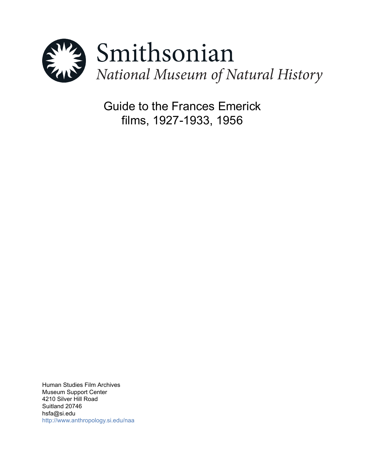

Guide to the Frances Emerick films, 1927-1933, 1956

Human Studies Film Archives Museum Support Center 4210 Silver Hill Road Suitland 20746 hsfa@si.edu <http://www.anthropology.si.edu/naa>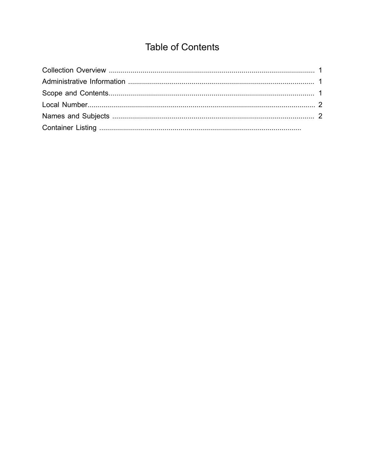# **Table of Contents**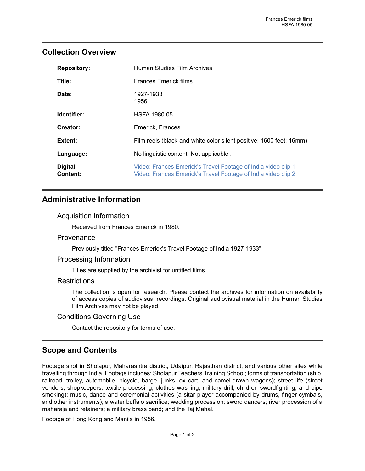## <span id="page-2-0"></span>**Collection Overview**

| <b>Repository:</b>                | Human Studies Film Archives                                                                                                    |
|-----------------------------------|--------------------------------------------------------------------------------------------------------------------------------|
| Title:                            | Frances Emerick films                                                                                                          |
| Date:                             | 1927-1933<br>1956                                                                                                              |
| Identifier:                       | HSFA.1980.05                                                                                                                   |
| Creator:                          | Emerick, Frances                                                                                                               |
| Extent:                           | Film reels (black-and-white color silent positive; 1600 feet; 16mm)                                                            |
| Language:                         | No linguistic content; Not applicable.                                                                                         |
| <b>Digital</b><br><b>Content:</b> | Video: Frances Emerick's Travel Footage of India video clip 1<br>Video: Frances Emerick's Travel Footage of India video clip 2 |

## <span id="page-2-1"></span>**Administrative Information**

#### Acquisition Information

Received from Frances Emerick in 1980.

#### **Provenance**

Previously titled "Frances Emerick's Travel Footage of India 1927-1933"

#### Processing Information

Titles are supplied by the archivist for untitled films.

#### **Restrictions**

The collection is open for research. Please contact the archives for information on availability of access copies of audiovisual recordings. Original audiovisual material in the Human Studies Film Archives may not be played.

#### Conditions Governing Use

Contact the repository for terms of use.

## <span id="page-2-2"></span>**Scope and Contents**

Footage shot in Sholapur, Maharashtra district, Udaipur, Rajasthan district, and various other sites while travelling through India. Footage includes: Sholapur Teachers Training School; forms of transportation (ship, railroad, trolley, automobile, bicycle, barge, junks, ox cart, and camel-drawn wagons); street life (street vendors, shopkeepers, textile processing, clothes washing, military drill, children swordfighting, and pipe smoking); music, dance and ceremonial activities (a sitar player accompanied by drums, finger cymbals, and other instruments); a water buffalo sacrifice; wedding procession; sword dancers; river procession of a maharaja and retainers; a military brass band; and the Taj Mahal.

Footage of Hong Kong and Manila in 1956.